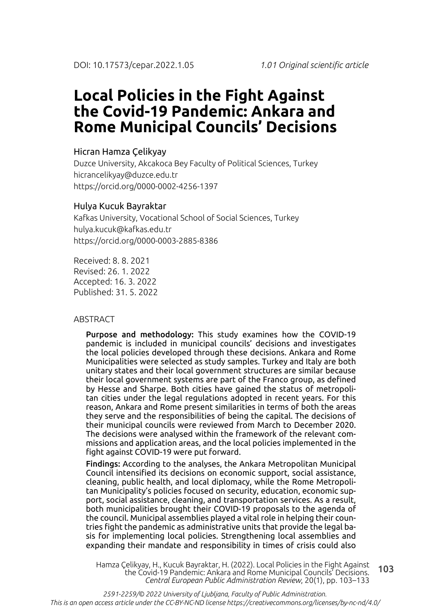# **Local Policies in the Fight Against the Covid-19 Pandemic: Ankara and Rome Municipal Councils' Decisions**

### Hicran Hamza Çelikyay

Duzce University, Akcakoca Bey Faculty of Political Sciences, Turkey hicrancelikyay@duzce.edu.tr https://orcid.org/0000-0002-4256-1397

#### Hulya Kucuk Bayraktar

Kafkas University, Vocational School of Social Sciences, Turkey hulya.kucuk@kafkas.edu.tr https://orcid.org/0000-0003-2885-8386

Received: 8. 8. 2021 Revised: 26. 1. 2022 Accepted: 16. 3. 2022 Published: 31. 5. 2022

#### ABSTRACT

Purpose and methodology: This study examines how the COVID-19 pandemic is included in municipal councils' decisions and investigates the local policies developed through these decisions. Ankara and Rome Municipalities were selected as study samples. Turkey and Italy are both unitary states and their local government structures are similar because their local government systems are part of the Franco group, as defined by Hesse and Sharpe. Both cities have gained the status of metropolitan cities under the legal regulations adopted in recent years. For this reason, Ankara and Rome present similarities in terms of both the areas they serve and the responsibilities of being the capital. The decisions of their municipal councils were reviewed from March to December 2020. The decisions were analysed within the framework of the relevant commissions and application areas, and the local policies implemented in the fight against COVID-19 were put forward.

Findings: According to the analyses, the Ankara Metropolitan Municipal Council intensified its decisions on economic support, social assistance, cleaning, public health, and local diplomacy, while the Rome Metropolitan Municipality's policies focused on security, education, economic support, social assistance, cleaning, and transportation services. As a result, both municipalities brought their COVID-19 proposals to the agenda of the council. Municipal assemblies played a vital role in helping their countries fight the pandemic as administrative units that provide the legal basis for implementing local policies. Strengthening local assemblies and expanding their mandate and responsibility in times of crisis could also

103 Hamza Çelikyay, H., Kucuk Bayraktar, H. (2022). Local Policies in the Fight Against the Covid-19 Pandemic: Ankara and Rome Municipal Councils' Decisions. *Central European Public Administration Review*, 20(1), pp. 103–133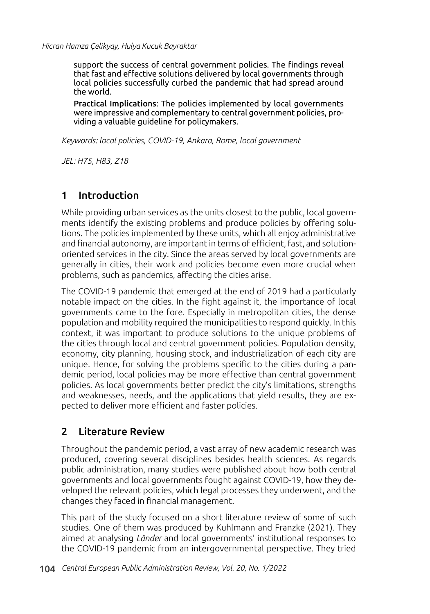support the success of central government policies. The findings reveal that fast and effective solutions delivered by local governments through local policies successfully curbed the pandemic that had spread around the world.

Practical Implications: The policies implemented by local governments were impressive and complementary to central government policies, providing a valuable guideline for policymakers.

*Keywords: local policies, COVID-19, Ankara, Rome, local government*

*JEL: H75, H83, Z18*

## 1 Introduction

While providing urban services as the units closest to the public, local governments identify the existing problems and produce policies by offering solutions. The policies implemented by these units, which all enjoy administrative and financial autonomy, are important in terms of efficient, fast, and solutionoriented services in the city. Since the areas served by local governments are generally in cities, their work and policies become even more crucial when problems, such as pandemics, affecting the cities arise.

The COVID-19 pandemic that emerged at the end of 2019 had a particularly notable impact on the cities. In the fight against it, the importance of local governments came to the fore. Especially in metropolitan cities, the dense population and mobility required the municipalities to respond quickly. In this context, it was important to produce solutions to the unique problems of the cities through local and central government policies. Population density, economy, city planning, housing stock, and industrialization of each city are unique. Hence, for solving the problems specific to the cities during a pandemic period, local policies may be more effective than central government policies. As local governments better predict the city's limitations, strengths and weaknesses, needs, and the applications that yield results, they are expected to deliver more efficient and faster policies.

## 2 Literature Review

Throughout the pandemic period, a vast array of new academic research was produced, covering several disciplines besides health sciences. As regards public administration, many studies were published about how both central governments and local governments fought against COVID-19, how they developed the relevant policies, which legal processes they underwent, and the changes they faced in financial management.

This part of the study focused on a short literature review of some of such studies. One of them was produced by Kuhlmann and Franzke (2021). They aimed at analysing *Länder* and local governments' institutional responses to the COVID-19 pandemic from an intergovernmental perspective. They tried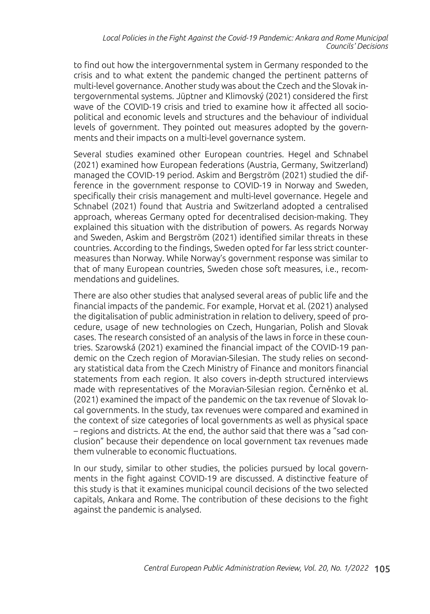to find out how the intergovernmental system in Germany responded to the crisis and to what extent the pandemic changed the pertinent patterns of multi-level governance. Another study was about the Czech and the Slovak intergovernmental systems. Jüptner and Klimovský (2021) considered the first wave of the COVID-19 crisis and tried to examine how it affected all sociopolitical and economic levels and structures and the behaviour of individual levels of government. They pointed out measures adopted by the governments and their impacts on a multi-level governance system.

Several studies examined other European countries. Hegel and Schnabel (2021) examined how European federations (Austria, Germany, Switzerland) managed the COVID-19 period. Askim and Bergström (2021) studied the difference in the government response to COVID-19 in Norway and Sweden, specifically their crisis management and multi-level governance. Hegele and Schnabel (2021) found that Austria and Switzerland adopted a centralised approach, whereas Germany opted for decentralised decision-making. They explained this situation with the distribution of powers. As regards Norway and Sweden, Askim and Bergström (2021) identified similar threats in these countries. According to the findings, Sweden opted for far less strict countermeasures than Norway. While Norway's government response was similar to that of many European countries, Sweden chose soft measures, i.e., recommendations and guidelines.

There are also other studies that analysed several areas of public life and the financial impacts of the pandemic. For example, Horvat et al. (2021) analysed the digitalisation of public administration in relation to delivery, speed of procedure, usage of new technologies on Czech, Hungarian, Polish and Slovak cases. The research consisted of an analysis of the laws in force in these countries. Szarowská (2021) examined the financial impact of the COVID-19 pandemic on the Czech region of Moravian-Silesian. The study relies on secondary statistical data from the Czech Ministry of Finance and monitors financial statements from each region. It also covers in-depth structured interviews made with representatives of the Moravian-Silesian region. Černěnko et al. (2021) examined the impact of the pandemic on the tax revenue of Slovak local governments. In the study, tax revenues were compared and examined in the context of size categories of local governments as well as physical space – regions and districts. At the end, the author said that there was a "sad conclusion" because their dependence on local government tax revenues made them vulnerable to economic fluctuations.

In our study, similar to other studies, the policies pursued by local governments in the fight against COVID-19 are discussed. A distinctive feature of this study is that it examines municipal council decisions of the two selected capitals, Ankara and Rome. The contribution of these decisions to the fight against the pandemic is analysed.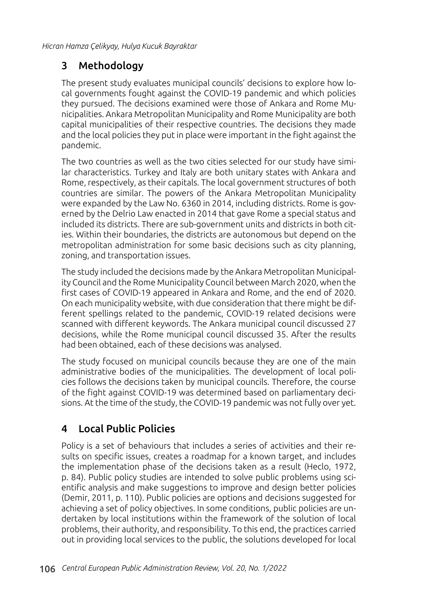## 3 Methodology

The present study evaluates municipal councils' decisions to explore how local governments fought against the COVID-19 pandemic and which policies they pursued. The decisions examined were those of Ankara and Rome Municipalities. Ankara Metropolitan Municipality and Rome Municipality are both capital municipalities of their respective countries. The decisions they made and the local policies they put in place were important in the fight against the pandemic.

The two countries as well as the two cities selected for our study have similar characteristics. Turkey and Italy are both unitary states with Ankara and Rome, respectively, as their capitals. The local government structures of both countries are similar. The powers of the Ankara Metropolitan Municipality were expanded by the Law No. 6360 in 2014, including districts. Rome is governed by the Delrio Law enacted in 2014 that gave Rome a special status and included its districts. There are sub-government units and districts in both cities. Within their boundaries, the districts are autonomous but depend on the metropolitan administration for some basic decisions such as city planning, zoning, and transportation issues.

The study included the decisions made by the Ankara Metropolitan Municipality Council and the Rome Municipality Council between March 2020, when the first cases of COVID-19 appeared in Ankara and Rome, and the end of 2020. On each municipality website, with due consideration that there might be different spellings related to the pandemic, COVID-19 related decisions were scanned with different keywords. The Ankara municipal council discussed 27 decisions, while the Rome municipal council discussed 35. After the results had been obtained, each of these decisions was analysed.

The study focused on municipal councils because they are one of the main administrative bodies of the municipalities. The development of local policies follows the decisions taken by municipal councils. Therefore, the course of the fight against COVID-19 was determined based on parliamentary decisions. At the time of the study, the COVID-19 pandemic was not fully over yet.

## 4 Local Public Policies

Policy is a set of behaviours that includes a series of activities and their results on specific issues, creates a roadmap for a known target, and includes the implementation phase of the decisions taken as a result (Heclo, 1972, p. 84). Public policy studies are intended to solve public problems using scientific analysis and make suggestions to improve and design better policies (Demir, 2011, p. 110). Public policies are options and decisions suggested for achieving a set of policy objectives. In some conditions, public policies are undertaken by local institutions within the framework of the solution of local problems, their authority, and responsibility. To this end, the practices carried out in providing local services to the public, the solutions developed for local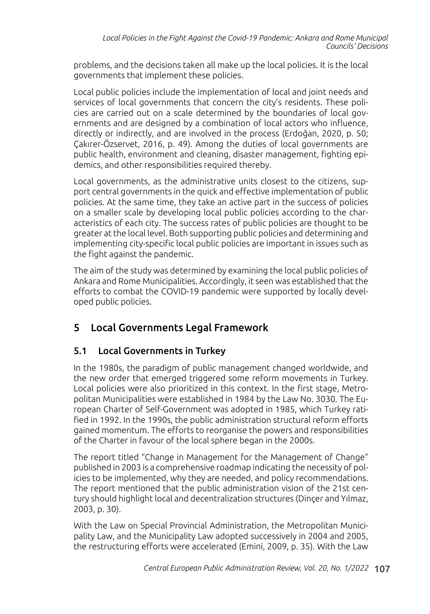problems, and the decisions taken all make up the local policies. It is the local governments that implement these policies.

Local public policies include the implementation of local and joint needs and services of local governments that concern the city's residents. These policies are carried out on a scale determined by the boundaries of local governments and are designed by a combination of local actors who influence, directly or indirectly, and are involved in the process (Erdoğan, 2020, p. 50; Çakırer-Özservet, 2016, p. 49). Among the duties of local governments are public health, environment and cleaning, disaster management, fighting epidemics, and other responsibilities required thereby.

Local governments, as the administrative units closest to the citizens, support central governments in the quick and effective implementation of public policies. At the same time, they take an active part in the success of policies on a smaller scale by developing local public policies according to the characteristics of each city. The success rates of public policies are thought to be greater at the local level. Both supporting public policies and determining and implementing city-specific local public policies are important in issues such as the fight against the pandemic.

The aim of the study was determined by examining the local public policies of Ankara and Rome Municipalities. Accordingly, it seen was established that the efforts to combat the COVID-19 pandemic were supported by locally developed public policies.

## 5 Local Governments Legal Framework

## 5.1 Local Governments in Turkey

In the 1980s, the paradigm of public management changed worldwide, and the new order that emerged triggered some reform movements in Turkey. Local policies were also prioritized in this context. In the first stage, Metropolitan Municipalities were established in 1984 by the Law No. 3030. The European Charter of Self-Government was adopted in 1985, which Turkey ratified in 1992. In the 1990s, the public administration structural reform efforts gained momentum. The efforts to reorganise the powers and responsibilities of the Charter in favour of the local sphere began in the 2000s.

The report titled "Change in Management for the Management of Change" published in 2003 is a comprehensive roadmap indicating the necessity of policies to be implemented, why they are needed, and policy recommendations. The report mentioned that the public administration vision of the 21st century should highlight local and decentralization structures (Dinçer and Yılmaz, 2003, p. 30).

With the Law on Special Provincial Administration, the Metropolitan Municipality Law, and the Municipality Law adopted successively in 2004 and 2005, the restructuring efforts were accelerated (Emini, 2009, p. 35). With the Law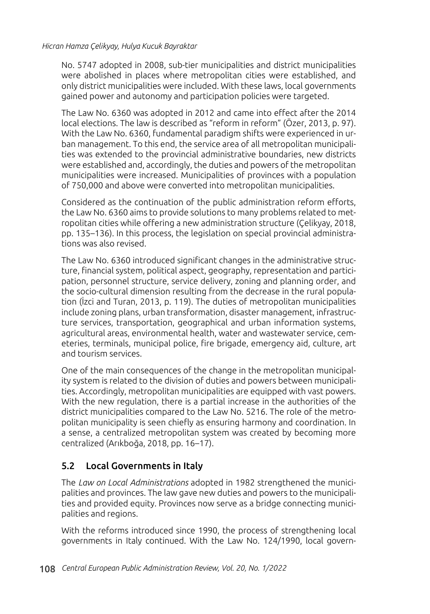No. 5747 adopted in 2008, sub-tier municipalities and district municipalities were abolished in places where metropolitan cities were established, and only district municipalities were included. With these laws, local governments gained power and autonomy and participation policies were targeted.

The Law No. 6360 was adopted in 2012 and came into effect after the 2014 local elections. The law is described as "reform in reform" (Özer, 2013, p. 97). With the Law No. 6360, fundamental paradigm shifts were experienced in urban management. To this end, the service area of all metropolitan municipalities was extended to the provincial administrative boundaries, new districts were established and, accordingly, the duties and powers of the metropolitan municipalities were increased. Municipalities of provinces with a population of 750,000 and above were converted into metropolitan municipalities.

Considered as the continuation of the public administration reform efforts, the Law No. 6360 aims to provide solutions to many problems related to metropolitan cities while offering a new administration structure (Çelikyay, 2018, pp. 135–136). In this process, the legislation on special provincial administrations was also revised.

The Law No. 6360 introduced significant changes in the administrative structure, financial system, political aspect, geography, representation and participation, personnel structure, service delivery, zoning and planning order, and the socio-cultural dimension resulting from the decrease in the rural population (İzci and Turan, 2013, p. 119). The duties of metropolitan municipalities include zoning plans, urban transformation, disaster management, infrastructure services, transportation, geographical and urban information systems, agricultural areas, environmental health, water and wastewater service, cemeteries, terminals, municipal police, fire brigade, emergency aid, culture, art and tourism services.

One of the main consequences of the change in the metropolitan municipality system is related to the division of duties and powers between municipalities. Accordingly, metropolitan municipalities are equipped with vast powers. With the new regulation, there is a partial increase in the authorities of the district municipalities compared to the Law No. 5216. The role of the metropolitan municipality is seen chiefly as ensuring harmony and coordination. In a sense, a centralized metropolitan system was created by becoming more centralized (Arıkboğa, 2018, pp. 16–17).

### 5.2 Local Governments in Italy

The *Law on Local Administrations* adopted in 1982 strengthened the municipalities and provinces. The law gave new duties and powers to the municipalities and provided equity. Provinces now serve as a bridge connecting municipalities and regions.

With the reforms introduced since 1990, the process of strengthening local governments in Italy continued. With the Law No. 124/1990, local govern-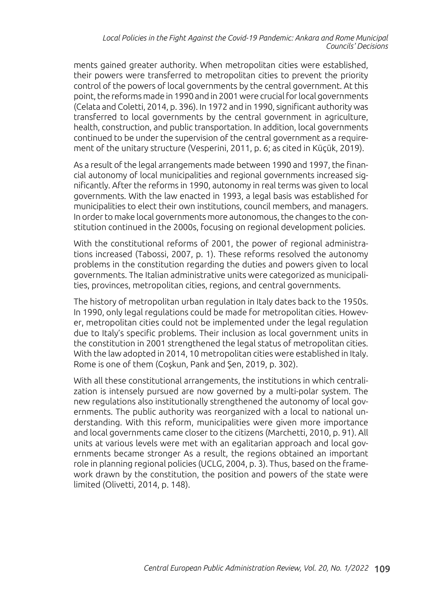ments gained greater authority. When metropolitan cities were established, their powers were transferred to metropolitan cities to prevent the priority control of the powers of local governments by the central government. At this point, the reforms made in 1990 and in 2001 were crucial for local governments (Celata and Coletti, 2014, p. 396). In 1972 and in 1990, significant authority was transferred to local governments by the central government in agriculture, health, construction, and public transportation. In addition, local governments continued to be under the supervision of the central government as a requirement of the unitary structure (Vesperini, 2011, p. 6; as cited in Küçük, 2019).

As a result of the legal arrangements made between 1990 and 1997, the financial autonomy of local municipalities and regional governments increased significantly. After the reforms in 1990, autonomy in real terms was given to local governments. With the law enacted in 1993, a legal basis was established for municipalities to elect their own institutions, council members, and managers. In order to make local governments more autonomous, the changes to the constitution continued in the 2000s, focusing on regional development policies.

With the constitutional reforms of 2001, the power of regional administrations increased (Tabossi, 2007, p. 1). These reforms resolved the autonomy problems in the constitution regarding the duties and powers given to local governments. The Italian administrative units were categorized as municipalities, provinces, metropolitan cities, regions, and central governments.

The history of metropolitan urban regulation in Italy dates back to the 1950s. In 1990, only legal regulations could be made for metropolitan cities. However, metropolitan cities could not be implemented under the legal regulation due to Italy's specific problems. Their inclusion as local government units in the constitution in 2001 strengthened the legal status of metropolitan cities. With the law adopted in 2014, 10 metropolitan cities were established in Italy. Rome is one of them (Coşkun, Pank and Şen, 2019, p. 302).

With all these constitutional arrangements, the institutions in which centralization is intensely pursued are now governed by a multi-polar system. The new regulations also institutionally strengthened the autonomy of local governments. The public authority was reorganized with a local to national understanding. With this reform, municipalities were given more importance and local governments came closer to the citizens (Marchetti, 2010, p. 91). All units at various levels were met with an egalitarian approach and local governments became stronger As a result, the regions obtained an important role in planning regional policies (UCLG, 2004, p. 3). Thus, based on the framework drawn by the constitution, the position and powers of the state were limited (Olivetti, 2014, p. 148).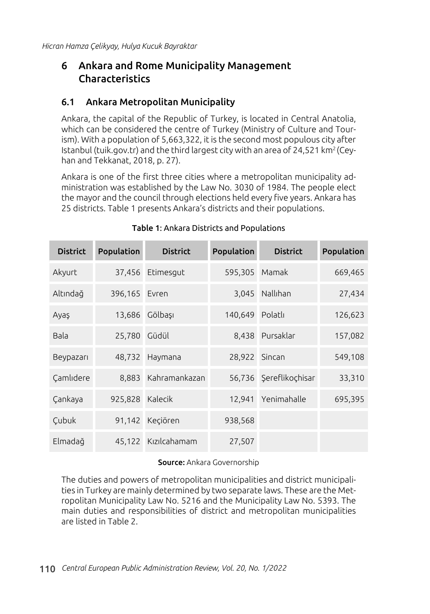## 6 Ankara and Rome Municipality Management Characteristics

### 6.1 Ankara Metropolitan Municipality

Ankara, the capital of the Republic of Turkey, is located in Central Anatolia, which can be considered the centre of Turkey (Ministry of Culture and Tourism). With a population of 5,663,322, it is the second most populous city after Istanbul (tuik.gov.tr) and the third largest city with an area of 24,521 km<sup>2</sup> (Ceyhan and Tekkanat, 2018, p. 27).

Ankara is one of the first three cities where a metropolitan municipality administration was established by the Law No. 3030 of 1984. The people elect the mayor and the council through elections held every five years. Ankara has 25 districts. Table 1 presents Ankara's districts and their populations.

| <b>District</b> | Population    | <b>District</b> | Population      | <b>District</b>        | Population |
|-----------------|---------------|-----------------|-----------------|------------------------|------------|
| Akyurt          | 37,456        | Etimesqut       | 595,305         | Mamak                  | 669,465    |
| Altındağ        | 396,165 Evren |                 |                 | 3,045 Nallıhan         | 27,434     |
| Ayaş            | 13,686        | Gölbaşı         | 140,649 Polatlı |                        | 126,623    |
| Bala            | 25,780        | Güdül           |                 | 8,438 Pursaklar        | 157,082    |
| Beypazarı       | 48,732        | Haymana         | 28,922 Sincan   |                        | 549,108    |
| Camlidere       | 8,883         | Kahramankazan   |                 | 56,736 Şereflikoçhisar | 33,310     |
| Çankaya         | 925,828       | Kalecik         | 12,941          | Yenimahalle            | 695,395    |
| Çubuk           | 91,142        | Keçiören        | 938,568         |                        |            |
| Elmadağ         | 45,122        | Kızılcahamam    | 27,507          |                        |            |

### Table 1: Ankara Districts and Populations

#### Source: Ankara Governorship

The duties and powers of metropolitan municipalities and district municipalities in Turkey are mainly determined by two separate laws. These are the Metropolitan Municipality Law No. 5216 and the Municipality Law No. 5393. The main duties and responsibilities of district and metropolitan municipalities are listed in Table 2.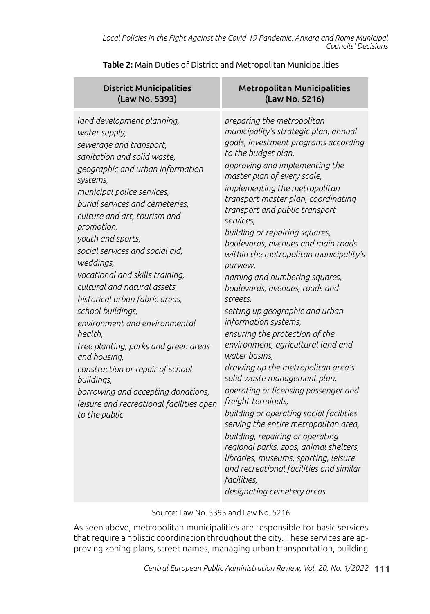District Municipalities (Law No. 5393) Metropolitan Municipalities (Law No. 5216) *land development planning, water supply, sewerage and transport, sanitation and solid waste, geographic and urban information systems, municipal police services, burial services and cemeteries, culture and art, tourism and promotion, youth and sports, social services and social aid, weddings, vocational and skills training, cultural and natural assets, historical urban fabric areas, school buildings, environment and environmental health, tree planting, parks and green areas and housing, construction or repair of school buildings, borrowing and accepting donations, leisure and recreational facilities open to the public preparing the metropolitan municipality's strategic plan, annual goals, investment programs according to the budget plan, approving and implementing the master plan of every scale, implementing the metropolitan transport master plan, coordinating transport and public transport services, building or repairing squares, boulevards, avenues and main roads within the metropolitan municipality's purview, naming and numbering squares, boulevards, avenues, roads and streets, setting up geographic and urban information systems, ensuring the protection of the environment, agricultural land and water basins, drawing up the metropolitan area's solid waste management plan, operating or licensing passenger and freight terminals, building or operating social facilities serving the entire metropolitan area, building, repairing or operating regional parks, zoos, animal shelters, libraries, museums, sporting, leisure and recreational facilities and similar facilities, designating cemetery areas*

Table 2: Main Duties of District and Metropolitan Municipalities

Source: Law No. 5393 and Law No. 5216

As seen above, metropolitan municipalities are responsible for basic services that require a holistic coordination throughout the city. These services are approving zoning plans, street names, managing urban transportation, building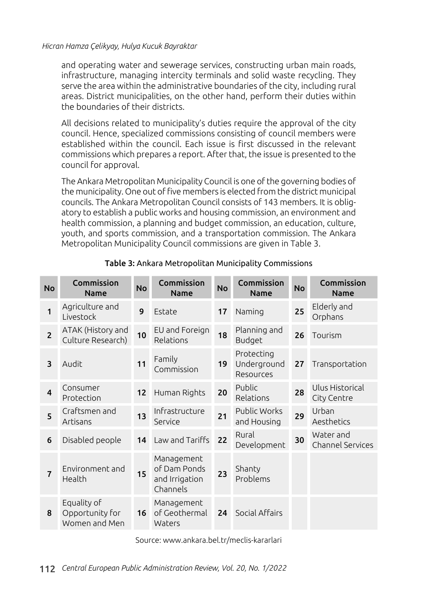and operating water and sewerage services, constructing urban main roads, infrastructure, managing intercity terminals and solid waste recycling. They serve the area within the administrative boundaries of the city, including rural areas. District municipalities, on the other hand, perform their duties within the boundaries of their districts.

All decisions related to municipality's duties require the approval of the city council. Hence, specialized commissions consisting of council members were established within the council. Each issue is first discussed in the relevant commissions which prepares a report. After that, the issue is presented to the council for approval.

The Ankara Metropolitan Municipality Council is one of the governing bodies of the municipality. One out of five members is elected from the district municipal councils. The Ankara Metropolitan Council consists of 143 members. It is obligatory to establish a public works and housing commission, an environment and health commission, a planning and budget commission, an education, culture, youth, and sports commission, and a transportation commission. The Ankara Metropolitan Municipality Council commissions are given in Table 3.

| <b>No</b>               | Commission<br><b>Name</b>                       | <b>No</b> | Commission<br><b>Name</b>                                | <b>No</b> | Commission<br><b>Name</b>              | <b>No</b> | Commission<br><b>Name</b>            |
|-------------------------|-------------------------------------------------|-----------|----------------------------------------------------------|-----------|----------------------------------------|-----------|--------------------------------------|
| 1                       | Agriculture and<br>Livestock                    | 9         | Estate                                                   | 17        | Naming                                 | 25        | Elderly and<br>Orphans               |
| $\overline{2}$          | ATAK (History and<br>Culture Research)          | 10        | EU and Foreign<br>Relations                              | 18        | Planning and<br>Budget                 | 26        | Tourism                              |
| 3                       | Audit                                           | 11        | Family<br>Commission                                     | 19        | Protecting<br>Underground<br>Resources | 27        | Transportation                       |
| $\overline{\mathbf{4}}$ | Consumer<br>Protection                          | 12        | Human Rights                                             | 20        | Public<br>Relations                    | 28        | Ulus Historical<br>City Centre       |
| 5                       | Craftsmen and<br>Artisans                       | 13        | Infrastructure<br>Service                                | 21        | Public Works<br>and Housing            | 29        | Urban<br>Aesthetics                  |
| 6                       | Disabled people                                 | 14        | Law and Tariffs                                          | 22        | Rural<br>Development                   | 30        | Water and<br><b>Channel Services</b> |
| $\overline{7}$          | Environment and<br>Health                       | 15        | Management<br>of Dam Ponds<br>and Irrigation<br>Channels | 23        | Shanty<br>Problems                     |           |                                      |
| 8                       | Equality of<br>Opportunity for<br>Women and Men | 16        | Management<br>of Geothermal<br>Waters                    | 24        | Social Affairs                         |           |                                      |

### Table 3: Ankara Metropolitan Municipality Commissions

Source: www.ankara.bel.tr/meclis-kararlari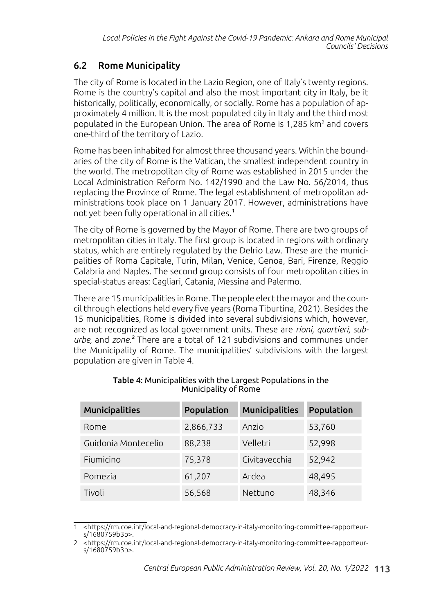## 6.2 Rome Municipality

The city of Rome is located in the Lazio Region, one of Italy's twenty regions. Rome is the country's capital and also the most important city in Italy, be it historically, politically, economically, or socially. Rome has a population of approximately 4 million. It is the most populated city in Italy and the third most populated in the European Union. The area of Rome is 1,285  $km<sup>2</sup>$  and covers one-third of the territory of Lazio.

Rome has been inhabited for almost three thousand years. Within the boundaries of the city of Rome is the Vatican, the smallest independent country in the world. The metropolitan city of Rome was established in 2015 under the Local Administration Reform No. 142/1990 and the Law No. 56/2014, thus replacing the Province of Rome. The legal establishment of metropolitan administrations took place on 1 January 2017. However, administrations have not yet been fully operational in all cities.<sup>1</sup>

The city of Rome is governed by the Mayor of Rome. There are two groups of metropolitan cities in Italy. The first group is located in regions with ordinary status, which are entirely regulated by the Delrio Law. These are the municipalities of Roma Capitale, Turin, Milan, Venice, Genoa, Bari, Firenze, Reggio Calabria and Naples. The second group consists of four metropolitan cities in special-status areas: Cagliari, Catania, Messina and Palermo.

There are 15 municipalities in Rome. The people elect the mayor and the council through elections held every five years (Roma Tiburtina, 2021). Besides the 15 municipalities, Rome is divided into several subdivisions which, however, are not recognized as local government units. These are *rioni, quartieri, suburbe,* and *zone*.<sup>2</sup> There are a total of 121 subdivisions and communes under the Municipality of Rome. The municipalities' subdivisions with the largest population are given in Table 4.

| <b>Municipalities</b> | Population | <b>Municipalities</b> | Population |
|-----------------------|------------|-----------------------|------------|
| Rome                  | 2,866,733  | Anzio                 | 53,760     |
| Guidonia Montecelio   | 88,238     | Velletri              | 52,998     |
| Fiumicino             | 75,378     | Civitavecchia         | 52,942     |
| Pomezia               | 61,207     | Ardea                 | 48,495     |
| Tivoli                | 56,568     | Nettuno               | 48,346     |

#### Table 4: Municipalities with the Largest Populations in the Municipality of Rome

<sup>1</sup> <https://rm.coe.int/local-and-regional-democracy-in-italy-monitoring-committee-rapporteurs/1680759b3b>.

<sup>2</sup> <https://rm.coe.int/local-and-regional-democracy-in-italy-monitoring-committee-rapporteurs/1680759b3b>.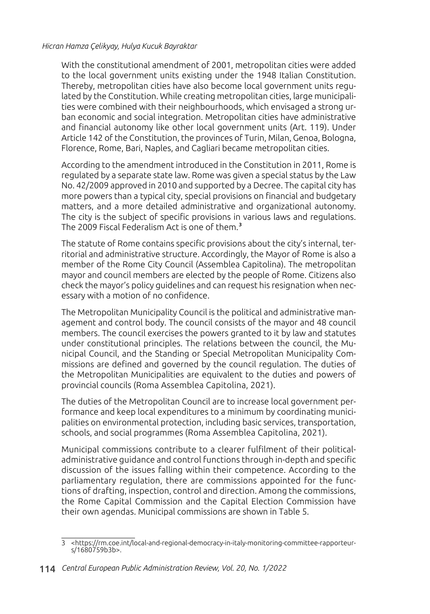With the constitutional amendment of 2001, metropolitan cities were added to the local government units existing under the 1948 Italian Constitution. Thereby, metropolitan cities have also become local government units regulated by the Constitution. While creating metropolitan cities, large municipalities were combined with their neighbourhoods, which envisaged a strong urban economic and social integration. Metropolitan cities have administrative and financial autonomy like other local government units (Art. 119). Under Article 142 of the Constitution, the provinces of Turin, Milan, Genoa, Bologna, Florence, Rome, Bari, Naples, and Cagliari became metropolitan cities.

According to the amendment introduced in the Constitution in 2011, Rome is regulated by a separate state law. Rome was given a special status by the Law No. 42/2009 approved in 2010 and supported by a Decree. The capital city has more powers than a typical city, special provisions on financial and budgetary matters, and a more detailed administrative and organizational autonomy. The city is the subject of specific provisions in various laws and regulations. The 2009 Fiscal Federalism Act is one of them.<sup>3</sup>

The statute of Rome contains specific provisions about the city's internal, territorial and administrative structure. Accordingly, the Mayor of Rome is also a member of the Rome City Council (Assemblea Capitolina). The metropolitan mayor and council members are elected by the people of Rome. Citizens also check the mayor's policy guidelines and can request his resignation when necessary with a motion of no confidence.

The Metropolitan Municipality Council is the political and administrative management and control body. The council consists of the mayor and 48 council members. The council exercises the powers granted to it by law and statutes under constitutional principles. The relations between the council, the Municipal Council, and the Standing or Special Metropolitan Municipality Commissions are defined and governed by the council regulation. The duties of the Metropolitan Municipalities are equivalent to the duties and powers of provincial councils (Roma Assemblea Capitolina, 2021).

The duties of the Metropolitan Council are to increase local government performance and keep local expenditures to a minimum by coordinating municipalities on environmental protection, including basic services, transportation, schools, and social programmes (Roma Assemblea Capitolina, 2021).

Municipal commissions contribute to a clearer fulfilment of their politicaladministrative guidance and control functions through in-depth and specific discussion of the issues falling within their competence. According to the parliamentary regulation, there are commissions appointed for the functions of drafting, inspection, control and direction. Among the commissions, the Rome Capital Commission and the Capital Election Commission have their own agendas. Municipal commissions are shown in Table 5.

<sup>3</sup> <https://rm.coe.int/local-and-regional-democracy-in-italy-monitoring-committee-rapporteurs/1680759b3b>.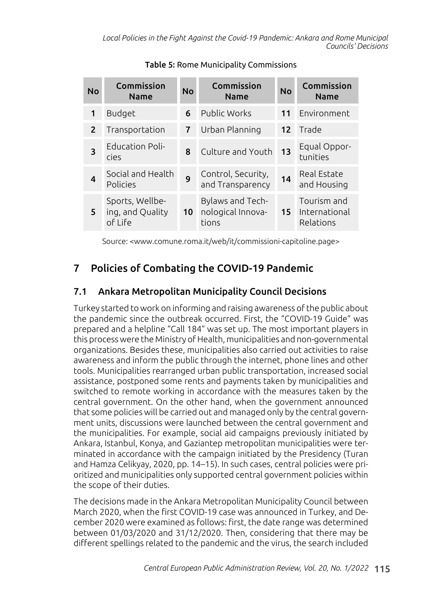| <b>No</b>      | Commission<br><b>Name</b>                      | <b>No</b> | Commission<br><b>Name</b>                      | <b>No</b>       | Commission<br><b>Name</b>                 |
|----------------|------------------------------------------------|-----------|------------------------------------------------|-----------------|-------------------------------------------|
| 1              | Budget                                         | 6         | Public Works                                   | 11              | Environment                               |
| $\overline{2}$ | Transportation                                 | 7         | Urban Planning                                 | 12 <sup>1</sup> | Trade                                     |
| 3              | <b>Education Poli-</b><br>cies                 | 8         | Culture and Youth                              | 13              | Equal Oppor-<br>tunities                  |
| 4              | Social and Health<br>Policies                  | 9         | Control, Security,<br>and Transparency         | 14              | Real Estate<br>and Housing                |
| 5.             | Sports, Wellbe-<br>ing, and Quality<br>of Life | 10        | Bylaws and Tech-<br>nological Innova-<br>tions | 15 <sup>1</sup> | Tourism and<br>International<br>Relations |

Table 5: Rome Municipality Commissions

Source: <www.comune.roma.it/web/it/commissioni-capitoline.page>

## 7 Policies of Combating the COVID-19 Pandemic

## 7.1 Ankara Metropolitan Municipality Council Decisions

Turkey started to work on informing and raising awareness of the public about the pandemic since the outbreak occurred. First, the "COVID-19 Guide" was prepared and a helpline "Call 184" was set up. The most important players in this process were the Ministry of Health, municipalities and non-governmental organizations. Besides these, municipalities also carried out activities to raise awareness and inform the public through the internet, phone lines and other tools. Municipalities rearranged urban public transportation, increased social assistance, postponed some rents and payments taken by municipalities and switched to remote working in accordance with the measures taken by the central government. On the other hand, when the government announced that some policies will be carried out and managed only by the central government units, discussions were launched between the central government and the municipalities. For example, social aid campaigns previously initiated by Ankara, Istanbul, Konya, and Gaziantep metropolitan municipalities were terminated in accordance with the campaign initiated by the Presidency (Turan and Hamza Celikyay, 2020, pp. 14–15). In such cases, central policies were prioritized and municipalities only supported central government policies within the scope of their duties.

The decisions made in the Ankara Metropolitan Municipality Council between March 2020, when the first COVID-19 case was announced in Turkey, and December 2020 were examined as follows: first, the date range was determined between 01/03/2020 and 31/12/2020. Then, considering that there may be different spellings related to the pandemic and the virus, the search included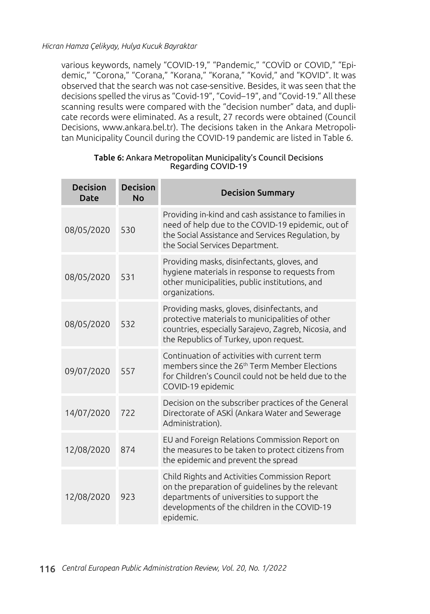various keywords, namely "COVID-19," "Pandemic," "COVİD or COVID," "Epidemic," "Corona," "Corana," "Korana," "Korana," "Kovid," and "KOVID". It was observed that the search was not case-sensitive. Besides, it was seen that the decisions spelled the virus as "Covid-19", "Covid–19", and "Covid-19." All these scanning results were compared with the "decision number" data, and duplicate records were eliminated. As a result, 27 records were obtained (Council Decisions, www.ankara.bel.tr). The decisions taken in the Ankara Metropolitan Municipality Council during the COVID-19 pandemic are listed in Table 6.

| <b>Decision</b><br><b>Date</b> | <b>Decision</b><br><b>No</b> | <b>Decision Summary</b>                                                                                                                                                                                      |
|--------------------------------|------------------------------|--------------------------------------------------------------------------------------------------------------------------------------------------------------------------------------------------------------|
| 08/05/2020                     | 530                          | Providing in-kind and cash assistance to families in<br>need of help due to the COVID-19 epidemic, out of<br>the Social Assistance and Services Regulation, by<br>the Social Services Department.            |
| 08/05/2020                     | 531                          | Providing masks, disinfectants, gloves, and<br>hygiene materials in response to requests from<br>other municipalities, public institutions, and<br>organizations.                                            |
| 08/05/2020                     | 532                          | Providing masks, gloves, disinfectants, and<br>protective materials to municipalities of other<br>countries, especially Sarajevo, Zagreb, Nicosia, and<br>the Republics of Turkey, upon request.             |
| 09/07/2020                     | 557                          | Continuation of activities with current term<br>members since the 26 <sup>th</sup> Term Member Elections<br>for Children's Council could not be held due to the<br>COVID-19 epidemic                         |
| 14/07/2020                     | 722                          | Decision on the subscriber practices of the General<br>Directorate of ASKİ (Ankara Water and Sewerage<br>Administration).                                                                                    |
| 12/08/2020                     | 874                          | EU and Foreign Relations Commission Report on<br>the measures to be taken to protect citizens from<br>the epidemic and prevent the spread                                                                    |
| 12/08/2020                     | 923                          | Child Rights and Activities Commission Report<br>on the preparation of guidelines by the relevant<br>departments of universities to support the<br>developments of the children in the COVID-19<br>epidemic. |

#### Table 6: Ankara Metropolitan Municipality's Council Decisions Regarding COVID-19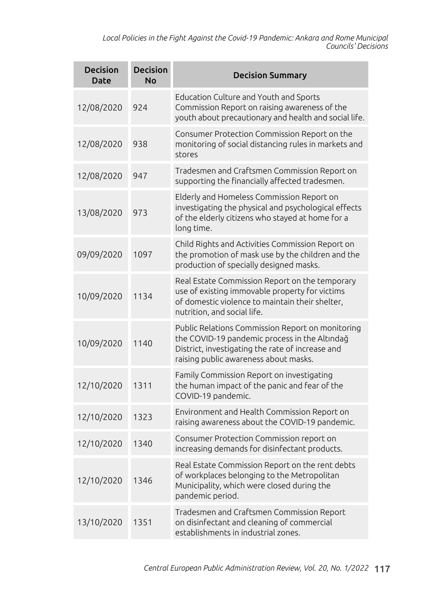*Local Policies in the Fight Against the Covid-19 Pandemic: Ankara and Rome Municipal Councils' Decisions*

| <b>Decision</b><br><b>Date</b> | <b>Decision</b><br><b>No</b> | <b>Decision Summary</b>                                                                                                                                                                        |
|--------------------------------|------------------------------|------------------------------------------------------------------------------------------------------------------------------------------------------------------------------------------------|
| 12/08/2020                     | 924                          | Education Culture and Youth and Sports<br>Commission Report on raising awareness of the<br>youth about precautionary and health and social life.                                               |
| 12/08/2020                     | 938                          | Consumer Protection Commission Report on the<br>monitoring of social distancing rules in markets and<br>stores                                                                                 |
| 12/08/2020                     | 947                          | Tradesmen and Craftsmen Commission Report on<br>supporting the financially affected tradesmen.                                                                                                 |
| 13/08/2020                     | 973                          | Elderly and Homeless Commission Report on<br>investigating the physical and psychological effects<br>of the elderly citizens who stayed at home for a<br>long time.                            |
| 09/09/2020                     | 1097                         | Child Rights and Activities Commission Report on<br>the promotion of mask use by the children and the<br>production of specially designed masks.                                               |
| 10/09/2020                     | 1134                         | Real Estate Commission Report on the temporary<br>use of existing immovable property for victims<br>of domestic violence to maintain their shelter,<br>nutrition, and social life.             |
| 10/09/2020                     | 1140                         | Public Relations Commission Report on monitoring<br>the COVID-19 pandemic process in the Altındağ<br>District, investigating the rate of increase and<br>raising public awareness about masks. |
| 12/10/2020                     | 1311                         | Family Commission Report on investigating<br>the human impact of the panic and fear of the<br>COVID-19 pandemic.                                                                               |
| 12/10/2020                     | 1323                         | Environment and Health Commission Report on<br>raising awareness about the COVID-19 pandemic.                                                                                                  |
| 12/10/2020                     | 1340                         | Consumer Protection Commission report on<br>increasing demands for disinfectant products.                                                                                                      |
| 12/10/2020                     | 1346                         | Real Estate Commission Report on the rent debts<br>of workplaces belonging to the Metropolitan<br>Municipality, which were closed during the<br>pandemic period.                               |
| 13/10/2020                     | 1351                         | Tradesmen and Craftsmen Commission Report<br>on disinfectant and cleaning of commercial<br>establishments in industrial zones.                                                                 |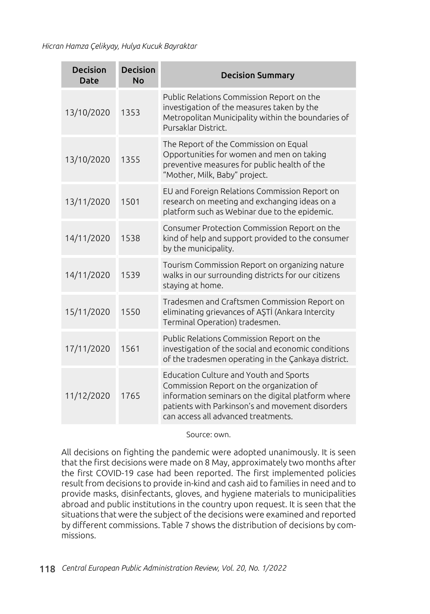| <b>Decision</b><br><b>Date</b> | <b>Decision</b><br><b>No</b> | <b>Decision Summary</b>                                                                                                                                                                                                                    |
|--------------------------------|------------------------------|--------------------------------------------------------------------------------------------------------------------------------------------------------------------------------------------------------------------------------------------|
| 13/10/2020                     | 1353                         | Public Relations Commission Report on the<br>investigation of the measures taken by the<br>Metropolitan Municipality within the boundaries of<br>Pursaklar District.                                                                       |
| 13/10/2020                     | 1355                         | The Report of the Commission on Equal<br>Opportunities for women and men on taking<br>preventive measures for public health of the<br>"Mother, Milk, Baby" project.                                                                        |
| 13/11/2020                     | 1501                         | EU and Foreign Relations Commission Report on<br>research on meeting and exchanging ideas on a<br>platform such as Webinar due to the epidemic.                                                                                            |
| 14/11/2020                     | 1538                         | Consumer Protection Commission Report on the<br>kind of help and support provided to the consumer<br>by the municipality.                                                                                                                  |
| 14/11/2020                     | 1539                         | Tourism Commission Report on organizing nature<br>walks in our surrounding districts for our citizens<br>staying at home.                                                                                                                  |
| 15/11/2020                     | 1550                         | Tradesmen and Craftsmen Commission Report on<br>eliminating grievances of AŞTİ (Ankara Intercity<br>Terminal Operation) tradesmen.                                                                                                         |
| 17/11/2020                     | 1561                         | Public Relations Commission Report on the<br>investigation of the social and economic conditions<br>of the tradesmen operating in the Çankaya district.                                                                                    |
| 11/12/2020                     | 1765                         | <b>Education Culture and Youth and Sports</b><br>Commission Report on the organization of<br>information seminars on the digital platform where<br>patients with Parkinson's and movement disorders<br>can access all advanced treatments. |

#### Source: own.

All decisions on fighting the pandemic were adopted unanimously. It is seen that the first decisions were made on 8 May, approximately two months after the first COVID-19 case had been reported. The first implemented policies result from decisions to provide in-kind and cash aid to families in need and to provide masks, disinfectants, gloves, and hygiene materials to municipalities abroad and public institutions in the country upon request. It is seen that the situations that were the subject of the decisions were examined and reported by different commissions. Table 7 shows the distribution of decisions by commissions.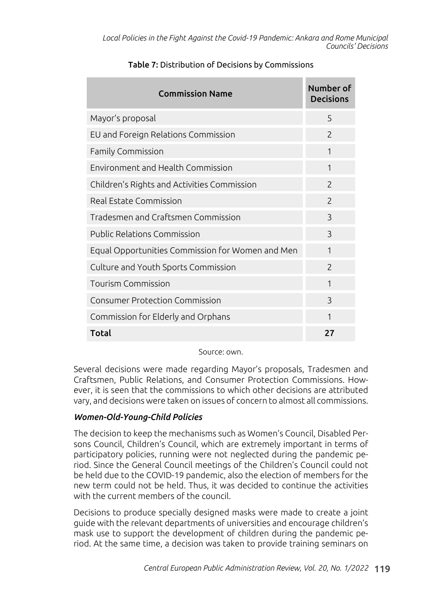| <b>Commission Name</b>                           | Number of<br><b>Decisions</b> |
|--------------------------------------------------|-------------------------------|
| Mayor's proposal                                 | 5                             |
| EU and Foreign Relations Commission              | $\overline{\phantom{0}}$      |
| Family Commission                                | 1                             |
| Environment and Health Commission                | 1                             |
| Children's Rights and Activities Commission      | $\overline{\phantom{0}}$      |
| Real Estate Commission                           | $\mathcal{P}$                 |
| Tradesmen and Craftsmen Commission               | ς                             |
| Public Relations Commission                      | 3                             |
| Equal Opportunities Commission for Women and Men | $\mathbf{1}$                  |
| Culture and Youth Sports Commission              | $\mathcal{P}$                 |
| <b>Tourism Commission</b>                        | $\mathbf{1}$                  |
| <b>Consumer Protection Commission</b>            | $\mathcal{E}$                 |
| Commission for Elderly and Orphans               | 1                             |
| <b>Total</b>                                     | 27                            |

### Table 7: Distribution of Decisions by Commissions

Source: own.

Several decisions were made regarding Mayor's proposals, Tradesmen and Craftsmen, Public Relations, and Consumer Protection Commissions. However, it is seen that the commissions to which other decisions are attributed vary, and decisions were taken on issues of concern to almost all commissions.

### *Women-Old-Young-Child Policies*

The decision to keep the mechanisms such as Women's Council, Disabled Persons Council, Children's Council, which are extremely important in terms of participatory policies, running were not neglected during the pandemic period. Since the General Council meetings of the Children's Council could not be held due to the COVID-19 pandemic, also the election of members for the new term could not be held. Thus, it was decided to continue the activities with the current members of the council.

Decisions to produce specially designed masks were made to create a joint guide with the relevant departments of universities and encourage children's mask use to support the development of children during the pandemic period. At the same time, a decision was taken to provide training seminars on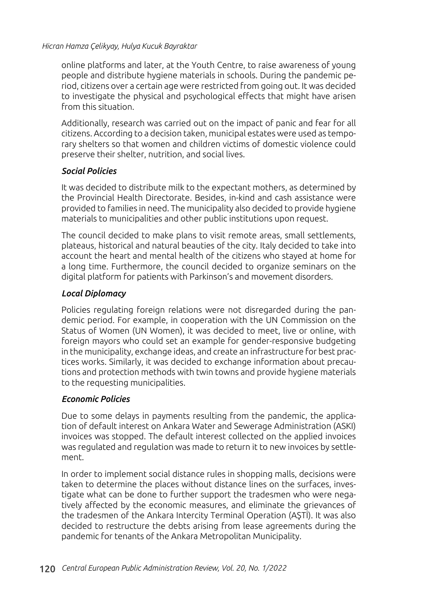online platforms and later, at the Youth Centre, to raise awareness of young people and distribute hygiene materials in schools. During the pandemic period, citizens over a certain age were restricted from going out. It was decided to investigate the physical and psychological effects that might have arisen from this situation.

Additionally, research was carried out on the impact of panic and fear for all citizens. According to a decision taken, municipal estates were used as temporary shelters so that women and children victims of domestic violence could preserve their shelter, nutrition, and social lives.

### *Social Policies*

It was decided to distribute milk to the expectant mothers, as determined by the Provincial Health Directorate. Besides, in-kind and cash assistance were provided to families in need. The municipality also decided to provide hygiene materials to municipalities and other public institutions upon request.

The council decided to make plans to visit remote areas, small settlements, plateaus, historical and natural beauties of the city. Italy decided to take into account the heart and mental health of the citizens who stayed at home for a long time. Furthermore, the council decided to organize seminars on the digital platform for patients with Parkinson's and movement disorders.

### *Local Diplomacy*

Policies regulating foreign relations were not disregarded during the pandemic period. For example, in cooperation with the UN Commission on the Status of Women (UN Women), it was decided to meet, live or online, with foreign mayors who could set an example for gender-responsive budgeting in the municipality, exchange ideas, and create an infrastructure for best practices works. Similarly, it was decided to exchange information about precautions and protection methods with twin towns and provide hygiene materials to the requesting municipalities.

### *Economic Policies*

Due to some delays in payments resulting from the pandemic, the application of default interest on Ankara Water and Sewerage Administration (ASKI) invoices was stopped. The default interest collected on the applied invoices was regulated and regulation was made to return it to new invoices by settlement.

In order to implement social distance rules in shopping malls, decisions were taken to determine the places without distance lines on the surfaces, investigate what can be done to further support the tradesmen who were negatively affected by the economic measures, and eliminate the grievances of the tradesmen of the Ankara Intercity Terminal Operation (AŞTİ). It was also decided to restructure the debts arising from lease agreements during the pandemic for tenants of the Ankara Metropolitan Municipality.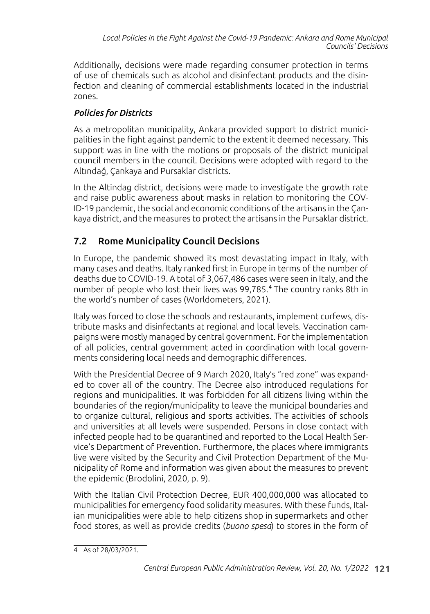Additionally, decisions were made regarding consumer protection in terms of use of chemicals such as alcohol and disinfectant products and the disinfection and cleaning of commercial establishments located in the industrial zones.

## *Policies for Districts*

As a metropolitan municipality, Ankara provided support to district municipalities in the fight against pandemic to the extent it deemed necessary. This support was in line with the motions or proposals of the district municipal council members in the council. Decisions were adopted with regard to the Altındağ, Çankaya and Pursaklar districts.

In the Altindag district, decisions were made to investigate the growth rate and raise public awareness about masks in relation to monitoring the COV-ID-19 pandemic, the social and economic conditions of the artisans in the Çankaya district, and the measures to protect the artisans in the Pursaklar district.

## 7.2 Rome Municipality Council Decisions

In Europe, the pandemic showed its most devastating impact in Italy, with many cases and deaths. Italy ranked first in Europe in terms of the number of deaths due to COVID-19. A total of 3,067,486 cases were seen in Italy, and the number of people who lost their lives was 99,785.<sup>4</sup> The country ranks 8th in the world's number of cases (Worldometers, 2021).

Italy was forced to close the schools and restaurants, implement curfews, distribute masks and disinfectants at regional and local levels. Vaccination campaigns were mostly managed by central government. For the implementation of all policies, central government acted in coordination with local governments considering local needs and demographic differences.

With the Presidential Decree of 9 March 2020, Italy's "red zone" was expanded to cover all of the country. The Decree also introduced regulations for regions and municipalities. It was forbidden for all citizens living within the boundaries of the region/municipality to leave the municipal boundaries and to organize cultural, religious and sports activities. The activities of schools and universities at all levels were suspended. Persons in close contact with infected people had to be quarantined and reported to the Local Health Service's Department of Prevention. Furthermore, the places where immigrants live were visited by the Security and Civil Protection Department of the Municipality of Rome and information was given about the measures to prevent the epidemic (Brodolini, 2020, p. 9).

With the Italian Civil Protection Decree, EUR 400,000,000 was allocated to municipalities for emergency food solidarity measures. With these funds, Italian municipalities were able to help citizens shop in supermarkets and other food stores, as well as provide credits (*buono spesa*) to stores in the form of

<sup>4</sup> As of 28/03/2021.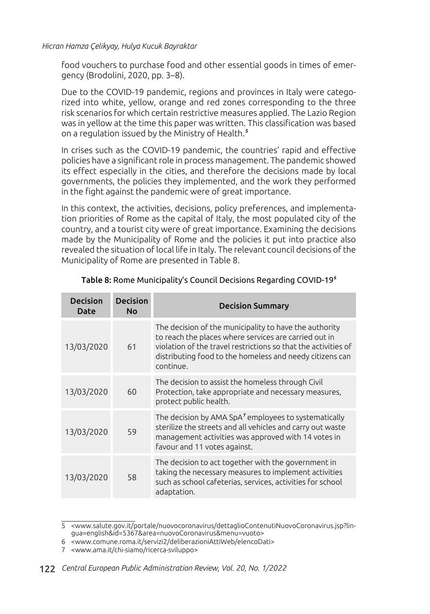food vouchers to purchase food and other essential goods in times of emergency (Brodolini, 2020, pp. 3–8).

Due to the COVID-19 pandemic, regions and provinces in Italy were categorized into white, yellow, orange and red zones corresponding to the three risk scenarios for which certain restrictive measures applied. The Lazio Region was in yellow at the time this paper was written. This classification was based on a regulation issued by the Ministry of Health.<sup>5</sup>

In crises such as the COVID-19 pandemic, the countries' rapid and effective policies have a significant role in process management. The pandemic showed its effect especially in the cities, and therefore the decisions made by local governments, the policies they implemented, and the work they performed in the fight against the pandemic were of great importance.

In this context, the activities, decisions, policy preferences, and implementation priorities of Rome as the capital of Italy, the most populated city of the country, and a tourist city were of great importance. Examining the decisions made by the Municipality of Rome and the policies it put into practice also revealed the situation of local life in Italy. The relevant council decisions of the Municipality of Rome are presented in Table 8.

| <b>Decision</b><br><b>Date</b> | <b>Decision</b><br>No | <b>Decision Summary</b>                                                                                                                                                                                                                                    |
|--------------------------------|-----------------------|------------------------------------------------------------------------------------------------------------------------------------------------------------------------------------------------------------------------------------------------------------|
| 13/03/2020                     | 61                    | The decision of the municipality to have the authority<br>to reach the places where services are carried out in<br>violation of the travel restrictions so that the activities of<br>distributing food to the homeless and needy citizens can<br>continue. |
| 13/03/2020                     | 60                    | The decision to assist the homeless through Civil<br>Protection, take appropriate and necessary measures,<br>protect public health.                                                                                                                        |
| 13/03/2020                     | 59                    | The decision by AMA SpA <sup>7</sup> employees to systematically<br>sterilize the streets and all vehicles and carry out waste<br>management activities was approved with 14 votes in<br>favour and 11 votes against.                                      |
| 13/03/2020                     | 58                    | The decision to act together with the government in<br>taking the necessary measures to implement activities<br>such as school cafeterias, services, activities for school<br>adaptation.                                                                  |

#### Table 8: Rome Municipality's Council Decisions Regarding COVID-19<sup>6</sup>

<sup>5</sup> <www.salute.gov.it/portale/nuovocoronavirus/dettaglioContenutiNuovoCoronavirus.jsp?lingua=english&id=5367&area=nuovoCoronavirus&menu=vuoto>

<sup>6</sup> <www.comune.roma.it/servizi2/deliberazioniAttiWeb/elencoDati>

<sup>7</sup> <www.ama.it/chi-siamo/ricerca-sviluppo>

<sup>122</sup> *Central European Public Administration Review, Vol. 20, No. 1/2022*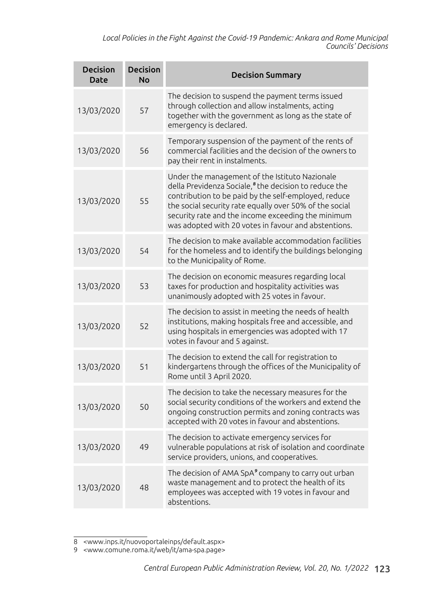*Local Policies in the Fight Against the Covid-19 Pandemic: Ankara and Rome Municipal Councils' Decisions*

| <b>Decision</b><br><b>Date</b> | <b>Decision</b><br><b>No</b> | <b>Decision Summary</b>                                                                                                                                                                                                                                                                                                                              |
|--------------------------------|------------------------------|------------------------------------------------------------------------------------------------------------------------------------------------------------------------------------------------------------------------------------------------------------------------------------------------------------------------------------------------------|
| 13/03/2020                     | 57                           | The decision to suspend the payment terms issued<br>through collection and allow instalments, acting<br>together with the government as long as the state of<br>emergency is declared.                                                                                                                                                               |
| 13/03/2020                     | 56                           | Temporary suspension of the payment of the rents of<br>commercial facilities and the decision of the owners to<br>pay their rent in instalments.                                                                                                                                                                                                     |
| 13/03/2020                     | 55                           | Under the management of the Istituto Nazionale<br>della Previdenza Sociale, <sup>8</sup> the decision to reduce the<br>contribution to be paid by the self-employed, reduce<br>the social security rate equally over 50% of the social<br>security rate and the income exceeding the minimum<br>was adopted with 20 votes in favour and abstentions. |
| 13/03/2020                     | 54                           | The decision to make available accommodation facilities<br>for the homeless and to identify the buildings belonging<br>to the Municipality of Rome.                                                                                                                                                                                                  |
| 13/03/2020                     | 53                           | The decision on economic measures regarding local<br>taxes for production and hospitality activities was<br>unanimously adopted with 25 votes in favour.                                                                                                                                                                                             |
| 13/03/2020                     | 52                           | The decision to assist in meeting the needs of health<br>institutions, making hospitals free and accessible, and<br>using hospitals in emergencies was adopted with 17<br>votes in favour and 5 against.                                                                                                                                             |
| 13/03/2020                     | 51                           | The decision to extend the call for registration to<br>kindergartens through the offices of the Municipality of<br>Rome until 3 April 2020.                                                                                                                                                                                                          |
| 13/03/2020                     | 50                           | The decision to take the necessary measures for the<br>social security conditions of the workers and extend the<br>ongoing construction permits and zoning contracts was<br>accepted with 20 votes in favour and abstentions.                                                                                                                        |
| 13/03/2020                     | 49                           | The decision to activate emergency services for<br>vulnerable populations at risk of isolation and coordinate<br>service providers, unions, and cooperatives.                                                                                                                                                                                        |
| 13/03/2020                     | 48                           | The decision of AMA SpA <sup>9</sup> company to carry out urban<br>waste management and to protect the health of its<br>employees was accepted with 19 votes in favour and<br>abstentions.                                                                                                                                                           |

<sup>8</sup> <www.inps.it/nuovoportaleinps/default.aspx>

<sup>9</sup> <www.comune.roma.it/web/it/ama-spa.page>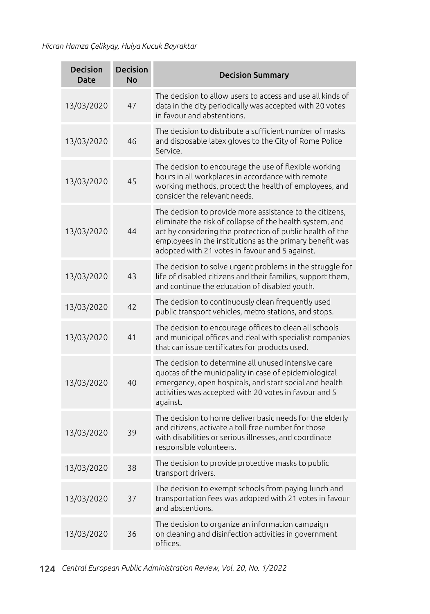| <b>Decision</b><br><b>Date</b> | <b>Decision</b><br><b>No</b> | <b>Decision Summary</b>                                                                                                                                                                                                                                                                         |
|--------------------------------|------------------------------|-------------------------------------------------------------------------------------------------------------------------------------------------------------------------------------------------------------------------------------------------------------------------------------------------|
| 13/03/2020                     | 47                           | The decision to allow users to access and use all kinds of<br>data in the city periodically was accepted with 20 votes<br>in favour and abstentions.                                                                                                                                            |
| 13/03/2020                     | 46                           | The decision to distribute a sufficient number of masks<br>and disposable latex gloves to the City of Rome Police<br>Service.                                                                                                                                                                   |
| 13/03/2020                     | 45                           | The decision to encourage the use of flexible working<br>hours in all workplaces in accordance with remote<br>working methods, protect the health of employees, and<br>consider the relevant needs.                                                                                             |
| 13/03/2020                     | 44                           | The decision to provide more assistance to the citizens,<br>eliminate the risk of collapse of the health system, and<br>act by considering the protection of public health of the<br>employees in the institutions as the primary benefit was<br>adopted with 21 votes in favour and 5 against. |
| 13/03/2020                     | 43                           | The decision to solve urgent problems in the struggle for<br>life of disabled citizens and their families, support them,<br>and continue the education of disabled youth.                                                                                                                       |
| 13/03/2020                     | 42                           | The decision to continuously clean frequently used<br>public transport vehicles, metro stations, and stops.                                                                                                                                                                                     |
| 13/03/2020                     | 41                           | The decision to encourage offices to clean all schools<br>and municipal offices and deal with specialist companies<br>that can issue certificates for products used.                                                                                                                            |
| 13/03/2020                     | 40                           | The decision to determine all unused intensive care<br>quotas of the municipality in case of epidemiological<br>emergency, open hospitals, and start social and health<br>activities was accepted with 20 votes in favour and 5<br>against.                                                     |
| 13/03/2020                     | 39                           | The decision to home deliver basic needs for the elderly<br>and citizens, activate a toll-free number for those<br>with disabilities or serious illnesses, and coordinate<br>responsible volunteers.                                                                                            |
| 13/03/2020                     | 38                           | The decision to provide protective masks to public<br>transport drivers.                                                                                                                                                                                                                        |
| 13/03/2020                     | 37                           | The decision to exempt schools from paying lunch and<br>transportation fees was adopted with 21 votes in favour<br>and abstentions.                                                                                                                                                             |
| 13/03/2020                     | 36                           | The decision to organize an information campaign<br>on cleaning and disinfection activities in government<br>offices.                                                                                                                                                                           |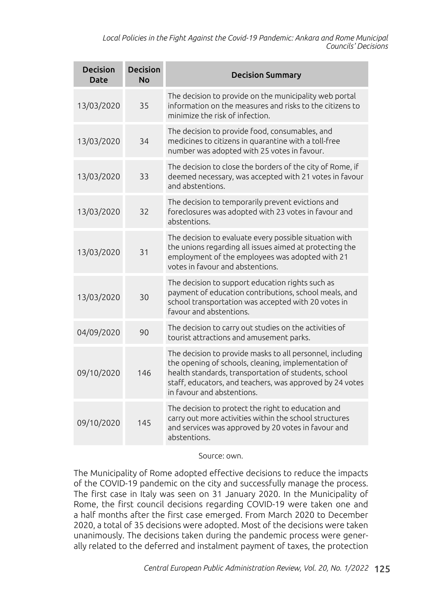*Local Policies in the Fight Against the Covid-19 Pandemic: Ankara and Rome Municipal Councils' Decisions*

| <b>Decision</b><br>Date | <b>Decision</b><br><b>No</b> | <b>Decision Summary</b>                                                                                                                                                                                                                                            |
|-------------------------|------------------------------|--------------------------------------------------------------------------------------------------------------------------------------------------------------------------------------------------------------------------------------------------------------------|
| 13/03/2020              | 35                           | The decision to provide on the municipality web portal<br>information on the measures and risks to the citizens to<br>minimize the risk of infection.                                                                                                              |
| 13/03/2020              | 34                           | The decision to provide food, consumables, and<br>medicines to citizens in quarantine with a toll-free<br>number was adopted with 25 votes in favour.                                                                                                              |
| 13/03/2020              | 33                           | The decision to close the borders of the city of Rome, if<br>deemed necessary, was accepted with 21 votes in favour<br>and abstentions.                                                                                                                            |
| 13/03/2020              | 32                           | The decision to temporarily prevent evictions and<br>foreclosures was adopted with 23 votes in favour and<br>abstentions.                                                                                                                                          |
| 13/03/2020              | 31                           | The decision to evaluate every possible situation with<br>the unions regarding all issues aimed at protecting the<br>employment of the employees was adopted with 21<br>votes in favour and abstentions.                                                           |
| 13/03/2020              | 30                           | The decision to support education rights such as<br>payment of education contributions, school meals, and<br>school transportation was accepted with 20 votes in<br>favour and abstentions.                                                                        |
| 04/09/2020              | 90                           | The decision to carry out studies on the activities of<br>tourist attractions and amusement parks.                                                                                                                                                                 |
| 09/10/2020              | 146                          | The decision to provide masks to all personnel, including<br>the opening of schools, cleaning, implementation of<br>health standards, transportation of students, school<br>staff, educators, and teachers, was approved by 24 votes<br>in favour and abstentions. |
| 09/10/2020              | 145                          | The decision to protect the right to education and<br>carry out more activities within the school structures<br>and services was approved by 20 votes in favour and<br>abstentions.                                                                                |

Source: own.

The Municipality of Rome adopted effective decisions to reduce the impacts of the COVID-19 pandemic on the city and successfully manage the process. The first case in Italy was seen on 31 January 2020. In the Municipality of Rome, the first council decisions regarding COVID-19 were taken one and a half months after the first case emerged. From March 2020 to December 2020, a total of 35 decisions were adopted. Most of the decisions were taken unanimously. The decisions taken during the pandemic process were generally related to the deferred and instalment payment of taxes, the protection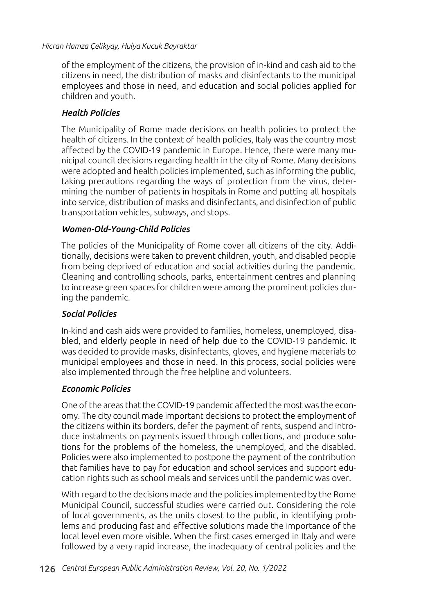of the employment of the citizens, the provision of in-kind and cash aid to the citizens in need, the distribution of masks and disinfectants to the municipal employees and those in need, and education and social policies applied for children and youth.

### *Health Policies*

The Municipality of Rome made decisions on health policies to protect the health of citizens. In the context of health policies, Italy was the country most affected by the COVID-19 pandemic in Europe. Hence, there were many municipal council decisions regarding health in the city of Rome. Many decisions were adopted and health policies implemented, such as informing the public, taking precautions regarding the ways of protection from the virus, determining the number of patients in hospitals in Rome and putting all hospitals into service, distribution of masks and disinfectants, and disinfection of public transportation vehicles, subways, and stops.

### *Women-Old-Young-Child Policies*

The policies of the Municipality of Rome cover all citizens of the city. Additionally, decisions were taken to prevent children, youth, and disabled people from being deprived of education and social activities during the pandemic. Cleaning and controlling schools, parks, entertainment centres and planning to increase green spaces for children were among the prominent policies during the pandemic.

### *Social Policies*

In-kind and cash aids were provided to families, homeless, unemployed, disabled, and elderly people in need of help due to the COVID-19 pandemic. It was decided to provide masks, disinfectants, gloves, and hygiene materials to municipal employees and those in need. In this process, social policies were also implemented through the free helpline and volunteers.

### *Economic Policies*

One of the areas that the COVID-19 pandemic affected the most was the economy. The city council made important decisions to protect the employment of the citizens within its borders, defer the payment of rents, suspend and introduce instalments on payments issued through collections, and produce solutions for the problems of the homeless, the unemployed, and the disabled. Policies were also implemented to postpone the payment of the contribution that families have to pay for education and school services and support education rights such as school meals and services until the pandemic was over.

With regard to the decisions made and the policies implemented by the Rome Municipal Council, successful studies were carried out. Considering the role of local governments, as the units closest to the public, in identifying problems and producing fast and effective solutions made the importance of the local level even more visible. When the first cases emerged in Italy and were followed by a very rapid increase, the inadequacy of central policies and the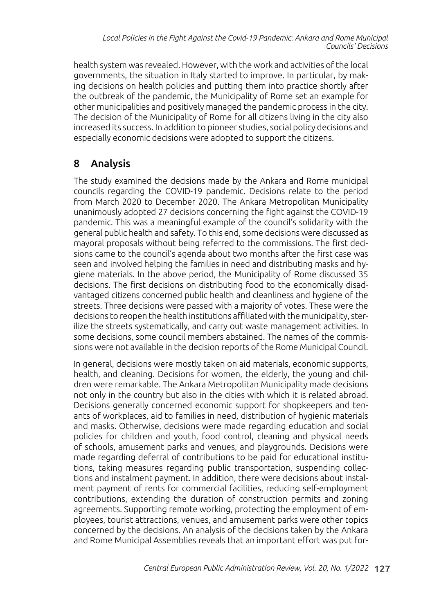health system was revealed. However, with the work and activities of the local governments, the situation in Italy started to improve. In particular, by making decisions on health policies and putting them into practice shortly after the outbreak of the pandemic, the Municipality of Rome set an example for other municipalities and positively managed the pandemic process in the city. The decision of the Municipality of Rome for all citizens living in the city also increased its success. In addition to pioneer studies, social policy decisions and especially economic decisions were adopted to support the citizens.

## 8 Analysis

The study examined the decisions made by the Ankara and Rome municipal councils regarding the COVID-19 pandemic. Decisions relate to the period from March 2020 to December 2020. The Ankara Metropolitan Municipality unanimously adopted 27 decisions concerning the fight against the COVID-19 pandemic. This was a meaningful example of the council's solidarity with the general public health and safety. To this end, some decisions were discussed as mayoral proposals without being referred to the commissions. The first decisions came to the council's agenda about two months after the first case was seen and involved helping the families in need and distributing masks and hygiene materials. In the above period, the Municipality of Rome discussed 35 decisions. The first decisions on distributing food to the economically disadvantaged citizens concerned public health and cleanliness and hygiene of the streets. Three decisions were passed with a majority of votes. These were the decisions to reopen the health institutions affiliated with the municipality, sterilize the streets systematically, and carry out waste management activities. In some decisions, some council members abstained. The names of the commissions were not available in the decision reports of the Rome Municipal Council.

In general, decisions were mostly taken on aid materials, economic supports, health, and cleaning. Decisions for women, the elderly, the young and children were remarkable. The Ankara Metropolitan Municipality made decisions not only in the country but also in the cities with which it is related abroad. Decisions generally concerned economic support for shopkeepers and tenants of workplaces, aid to families in need, distribution of hygienic materials and masks. Otherwise, decisions were made regarding education and social policies for children and youth, food control, cleaning and physical needs of schools, amusement parks and venues, and playgrounds. Decisions were made regarding deferral of contributions to be paid for educational institutions, taking measures regarding public transportation, suspending collections and instalment payment. In addition, there were decisions about instalment payment of rents for commercial facilities, reducing self-employment contributions, extending the duration of construction permits and zoning agreements. Supporting remote working, protecting the employment of employees, tourist attractions, venues, and amusement parks were other topics concerned by the decisions. An analysis of the decisions taken by the Ankara and Rome Municipal Assemblies reveals that an important effort was put for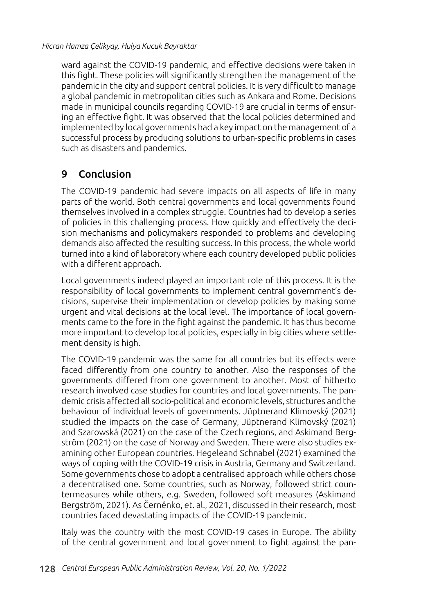ward against the COVID-19 pandemic, and effective decisions were taken in this fight. These policies will significantly strengthen the management of the pandemic in the city and support central policies. It is very difficult to manage a global pandemic in metropolitan cities such as Ankara and Rome. Decisions made in municipal councils regarding COVID-19 are crucial in terms of ensuring an effective fight. It was observed that the local policies determined and implemented by local governments had a key impact on the management of a successful process by producing solutions to urban-specific problems in cases such as disasters and pandemics.

## 9 Conclusion

The COVID-19 pandemic had severe impacts on all aspects of life in many parts of the world. Both central governments and local governments found themselves involved in a complex struggle. Countries had to develop a series of policies in this challenging process. How quickly and effectively the decision mechanisms and policymakers responded to problems and developing demands also affected the resulting success. In this process, the whole world turned into a kind of laboratory where each country developed public policies with a different approach.

Local governments indeed played an important role of this process. It is the responsibility of local governments to implement central government's decisions, supervise their implementation or develop policies by making some urgent and vital decisions at the local level. The importance of local governments came to the fore in the fight against the pandemic. It has thus become more important to develop local policies, especially in big cities where settlement density is high.

The COVID-19 pandemic was the same for all countries but its effects were faced differently from one country to another. Also the responses of the governments differed from one government to another. Most of hitherto research involved case studies for countries and local governments. The pandemic crisis affected all socio-political and economic levels, structures and the behaviour of individual levels of governments. Jüptnerand Klimovský (2021) studied the impacts on the case of Germany, Jüptnerand Klimovský (2021) and Szarowská (2021) on the case of the Czech regions, and Askimand Bergström (2021) on the case of Norway and Sweden. There were also studies examining other European countries. Hegeleand Schnabel (2021) examined the ways of coping with the COVID-19 crisis in Austria, Germany and Switzerland. Some governments chose to adopt a centralised approach while others chose a decentralised one. Some countries, such as Norway, followed strict countermeasures while others, e.g. Sweden, followed soft measures (Askimand Bergström, 2021). As Černěnko, et. al., 2021, discussed in their research, most countries faced devastating impacts of the COVID-19 pandemic.

Italy was the country with the most COVID-19 cases in Europe. The ability of the central government and local government to fight against the pan-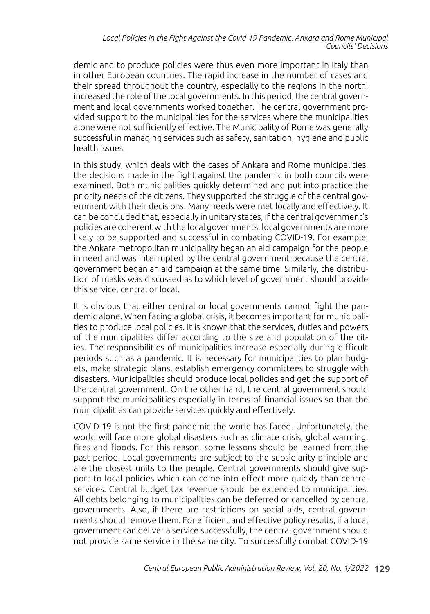demic and to produce policies were thus even more important in Italy than in other European countries. The rapid increase in the number of cases and their spread throughout the country, especially to the regions in the north, increased the role of the local governments. In this period, the central government and local governments worked together. The central government provided support to the municipalities for the services where the municipalities alone were not sufficiently effective. The Municipality of Rome was generally successful in managing services such as safety, sanitation, hygiene and public health issues.

In this study, which deals with the cases of Ankara and Rome municipalities, the decisions made in the fight against the pandemic in both councils were examined. Both municipalities quickly determined and put into practice the priority needs of the citizens. They supported the struggle of the central government with their decisions. Many needs were met locally and effectively. It can be concluded that, especially in unitary states, if the central government's policies are coherent with the local governments, local governments are more likely to be supported and successful in combating COVID-19. For example, the Ankara metropolitan municipality began an aid campaign for the people in need and was interrupted by the central government because the central government began an aid campaign at the same time. Similarly, the distribution of masks was discussed as to which level of government should provide this service, central or local.

It is obvious that either central or local governments cannot fight the pandemic alone. When facing a global crisis, it becomes important for municipalities to produce local policies. It is known that the services, duties and powers of the municipalities differ according to the size and population of the cities. The responsibilities of municipalities increase especially during difficult periods such as a pandemic. It is necessary for municipalities to plan budgets, make strategic plans, establish emergency committees to struggle with disasters. Municipalities should produce local policies and get the support of the central government. On the other hand, the central government should support the municipalities especially in terms of financial issues so that the municipalities can provide services quickly and effectively.

COVID-19 is not the first pandemic the world has faced. Unfortunately, the world will face more global disasters such as climate crisis, global warming, fires and floods. For this reason, some lessons should be learned from the past period. Local governments are subject to the subsidiarity principle and are the closest units to the people. Central governments should give support to local policies which can come into effect more quickly than central services. Central budget tax revenue should be extended to municipalities. All debts belonging to municipalities can be deferred or cancelled by central governments. Also, if there are restrictions on social aids, central governments should remove them. For efficient and effective policy results, if a local government can deliver a service successfully, the central government should not provide same service in the same city. To successfully combat COVID-19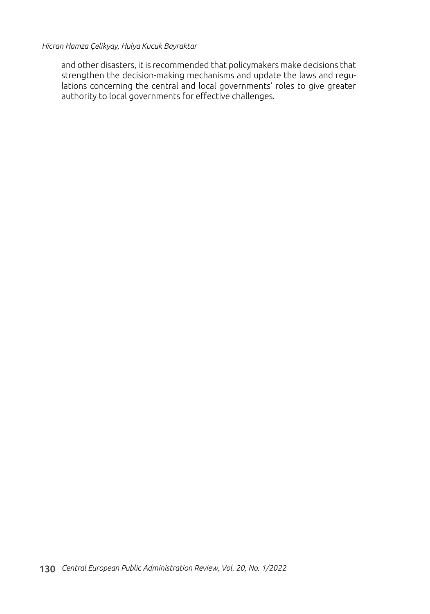and other disasters, it is recommended that policymakers make decisions that strengthen the decision-making mechanisms and update the laws and regulations concerning the central and local governments' roles to give greater authority to local governments for effective challenges.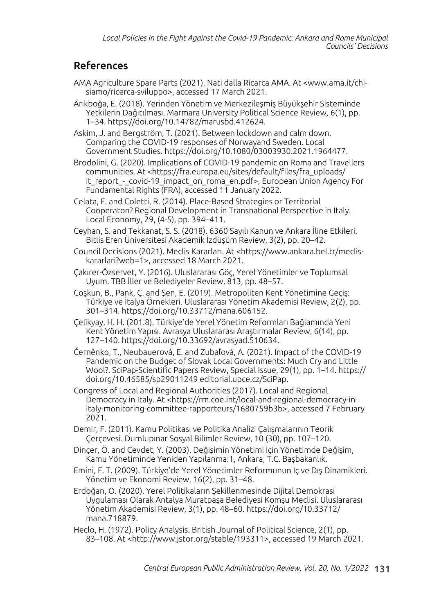## References

- AMA Agriculture Spare Parts (2021). Nati dalla Ricarca AMA. At <www.ama.it/chisiamo/ricerca-sviluppo>, accessed 17 March 2021.
- Arıkboğa, E. (2018). Yerinden Yönetim ve Merkezileşmiş Büyükşehir Sisteminde Yetkilerin Dağıtılması. Marmara University Political Science Review*,* 6(1), pp. 1–34. https://doi.org/10.14782/marusbd.412624.

Askim, J. and Bergström, T. (2021). Between lockdown and calm down. Comparing the COVID-19 responses of Norwayand Sweden. Local Government Studies. https://doi.org/10.1080/03003930.2021.1964477.

Brodolini, G. (2020). Implications of COVID-19 pandemic on Roma and Travellers communities. At <https://fra.europa.eu/sites/default/files/fra\_uploads/ it\_report - covid-19\_impact\_on\_roma\_en.pdf>, European Union Agency For Fundamental Rights (FRA), accessed 11 January 2022.

Celata, F. and Coletti, R. (2014). Place-Based Strategies or Territorial Cooperaton? Regional Development in Transnational Perspective in Italy. Local Economy, 29, (4-5), pp. 394–411.

Ceyhan, S. and Tekkanat, S. S. (2018). 6360 Sayılı Kanun ve Ankara İline Etkileri. Bitlis Eren Üniversitesi Akademik İzdüşüm Review, 3(2), pp. 20–42.

Council Decisions (2021). Meclis Kararları. At <https://www.ankara.bel.tr/mecliskararlari?web=1>, accessed 18 March 2021.

Çakırer-Özservet, Y. (2016). Uluslararası Göç, Yerel Yönetimler ve Toplumsal Uyum. TBB İller ve Belediyeler Review, 813, pp. 48–57.

Coşkun, B., Pank, Ç. and Şen, E. (2019). Metropoliten Kent Yönetimine Geçiş: Türkiye ve İtalya Örnekleri. Uluslararası Yönetim Akademisi Review, 2(2), pp. 301–314. https://doi.org/10.33712/mana.606152.

Çelikyay, H. H. (201.8). Türkiye'de Yerel Yönetim Reformları Bağlamında Yeni Kent Yönetim Yapısı. Avrasya Uluslararası Araştırmalar Review, 6(14), pp. 127–140. https://doi.org/10.33692/avrasyad.510634.

Černěnko, T., Neubauerová, E. and Zubaľová, A. (2021). Impact of the COVID-19 Pandemic on the Budget of Slovak Local Governments: Much Cry and Little Wool?. SciPap-Scientific Papers Review, Special Issue, 29(1), pp. 1–14. https:// doi.org/10.46585/sp29011249 editorial.upce.cz/SciPap.

Congress of Local and Regional Authorities (2017). Local and Regional Democracy in Italy. At <https://rm.coe.int/local-and-regional-democracy-initaly-monitoring-committee-rapporteurs/1680759b3b>, accessed 7 February 2021.

Demir, F. (2011). Kamu Politikası ve Politika Analizi Çalışmalarının Teorik Çerçevesi. Dumlupınar Sosyal Bilimler Review, 10 (30), pp. 107–120.

Dinçer, Ö. and Cevdet, Y. (2003). Değişimin Yönetimi İçin Yönetimde Değişim, Kamu Yönetiminde Yeniden Yapılanma:1, Ankara, T.C. Başbakanlık.

Emini, F. T. (2009). Türkiye'de Yerel Yönetimler Reformunun Iç ve Dış Dinamikleri. Yönetim ve Ekonomi Review, 16(2), pp. 31–48.

Erdoğan, O. (2020). Yerel Politikaların Şekillenmesinde Dijital Demokrasi Uygulaması Olarak Antalya Muratpaşa Belediyesi Komşu Meclisi. Uluslararası Yönetim Akademisi Review, 3(1), pp. 48–60. https://doi.org/10.33712/ mana.718879.

Heclo, H. (1972). Policy Analysis. British Journal of Political Science, 2(1), pp. 83–108. At <http://www.jstor.org/stable/193311>, accessed 19 March 2021.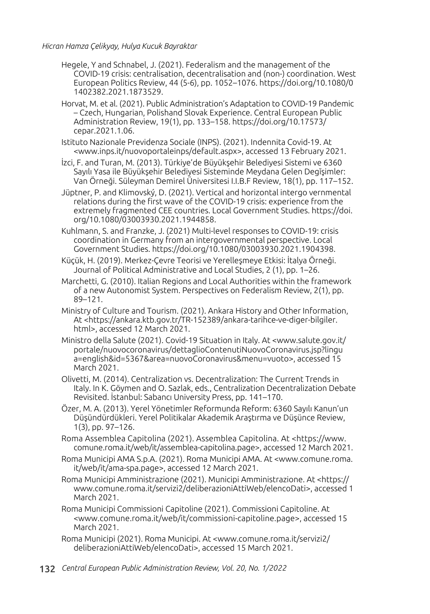- Hegele, Y and Schnabel, J. (2021). Federalism and the management of the COVID-19 crisis: centralisation, decentralisation and (non-) coordination. West European Politics Review, 44 (5-6), pp. 1052–1076. https://doi.org/10.1080/0 1402382.2021.1873529.
- Horvat, M. et al. (2021). Public Administration's Adaptation to COVID-19 Pandemic – Czech, Hungarian, Polishand Slovak Experience. Central European Public Administration Review, 19(1), pp. 133–158. https://doi.org/10.17573/ cepar.2021.1.06.
- Istituto Nazionale Previdenza Sociale (INPS). (2021). Indennita Covid-19. At <www.inps.it/nuovoportaleinps/default.aspx>, accessed 13 February 2021.

İzci, F. and Turan, M. (2013). Türkiye'de Büyükşehir Belediyesi Sistemi ve 6360 Sayılı Yasa ile Büyükşehir Belediyesi Sisteminde Meydana Gelen Degĭşimler: Van Örneği. Süleyman Demirel Üniversitesi I.I.B.F Review, 18(1), pp. 117–152.

Jüptner, P. and Klimovský, D. (2021). Vertical and horizontal intergo vernmental relations during the first wave of the COVID-19 crisis: experience from the extremely fragmented CEE countries. Local Government Studies. https://doi. org/10.1080/03003930.2021.1944858.

Kuhlmann, S. and Franzke, J. (2021) Multi-level responses to COVID-19: crisis coordination in Germany from an intergovernmental perspective. Local Government Studies. https://doi.org/10.1080/03003930.2021.1904398.

Küçük, H. (2019). Merkez-Çevre Teorisi ve Yerelleşmeye Etkisi: İtalya Örneği. Journal of Political Administrative and Local Studies, 2 (1), pp. 1–26.

Marchetti, G. (2010). Italian Regions and Local Authorities within the framework of a new Autonomist System. Perspectives on Federalism Review, 2(1), pp. 89–121.

Ministry of Culture and Tourism. (2021). Ankara History and Other Information, At <https://ankara.ktb.gov.tr/TR-152389/ankara-tarihce-ve-diger-bilgiler. html>, accessed 12 March 2021.

Ministro della Salute (2021). Covid-19 Situation in Italy. At <www.salute.gov.it/ portale/nuovocoronavirus/dettaglioContenutiNuovoCoronavirus.jsp?lingu a=english&id=5367&area=nuovoCoronavirus&menu=vuoto>, accessed 15 March 2021.

Olivetti, M. (2014). Centralization vs. Decentralization: The Current Trends in Italy. In K. Göymen and O. Sazlak, eds., Centralization Decentralization Debate Revisited. İstanbul: Sabancı University Press, pp. 141–170.

Özer, M. A. (2013). Yerel Yönetimler Reformunda Reform: 6360 Sayılı Kanun'un Düşündürdükleri. Yerel Politikalar Akademik Araştırma ve Düşünce Review, 1(3), pp. 97–126.

Roma Assemblea Capitolina (2021). Assemblea Capitolina. At <https://www. comune.roma.it/web/it/assemblea-capitolina.page>, accessed 12 March 2021.

Roma Municipi AMA S.p.A. (2021). Roma Municipi AMA. At <www.comune.roma. it/web/it/ama-spa.page>, accessed 12 March 2021.

- Roma Municipi Amministrazione (2021). Municipi Amministrazione. At <https:// www.comune.roma.it/servizi2/deliberazioniAttiWeb/elencoDati>, accessed 1 March 2021.
- Roma Municipi Commissioni Capitoline (2021). Commissioni Capitoline. At <www.comune.roma.it/web/it/commissioni-capitoline.page>, accessed 15 March 2021.
- Roma Municipi (2021). Roma Municipi. At <www.comune.roma.it/servizi2/ deliberazioniAttiWeb/elencoDati>, accessed 15 March 2021.
- 132 *Central European Public Administration Review, Vol. 20, No. 1/2022*